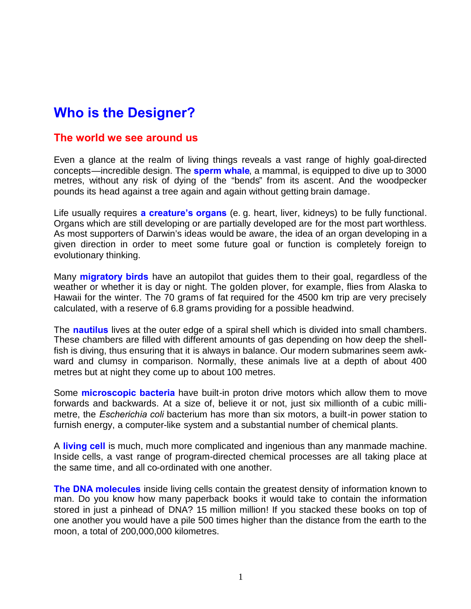# **Who is the Designer?**

#### **The world we see around us**

Even a glance at the realm of living things reveals a vast range of highly goal-directed concepts—incredible design. The **sperm whale**, a mammal, is equipped to dive up to 3000 metres, without any risk of dying of the "bends" from its ascent. And the woodpecker pounds its head against a tree again and again without getting brain damage.

Life usually requires **a creature's organs** (e. g. heart, liver, kidneys) to be fully functional. Organs which are still developing or are partially developed are for the most part worthless. As most supporters of Darwin's ideas would be aware, the idea of an organ developing in a given direction in order to meet some future goal or function is completely foreign to evolutionary thinking.

Many **migratory birds** have an autopilot that guides them to their goal, regardless of the weather or whether it is day or night. The golden plover, for example, flies from Alaska to Hawaii for the winter. The 70 grams of fat required for the 4500 km trip are very precisely calculated, with a reserve of 6.8 grams providing for a possible headwind.

The **nautilus** lives at the outer edge of a spiral [shell](http://de.wikipedia.org/wiki/Schale) which is divided into small chambers. These chambers are filled with different amounts of gas depending on how deep the shellfish is diving, thus ensuring that it is always in balance. Our modern submarines seem awkward and clumsy in comparison. Normally, these animals live at a depth of about 400 metres but at night they come up to about 100 metres.

Some **microscopic bacteria** have built-in proton drive motors which allow them to move forwards and backwards. At a size of, believe it or not, just six millionth of a cubic millimetre, the *Escherichia coli* bacterium has more than six motors, a built-in power station to furnish energy, a computer-like system and a substantial number of chemical plants.

A **living cell** is much, much more complicated and ingenious than any manmade machine. Inside cells, a vast range of program-directed chemical processes are all taking place at the same time, and all co-ordinated with one another.

**The DNA molecules** inside living cells contain the greatest density of information known to man. Do you know how many paperback books it would take to contain the information stored in just a pinhead of DNA? 15 million million! If you stacked these books on top of one another you would have a pile 500 times higher than the distance from the earth to the moon, a total of 200,000,000 kilometres.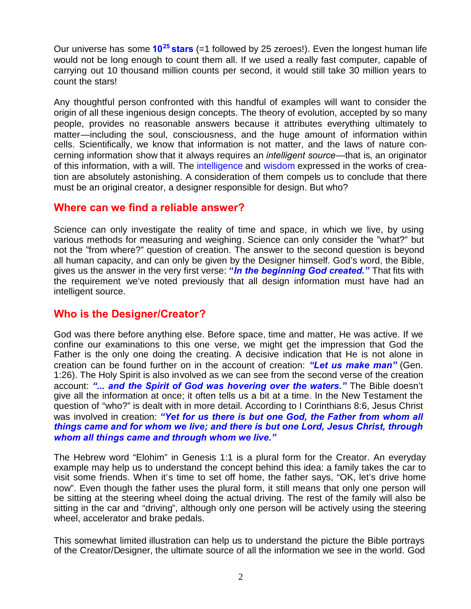Our universe has some **10<sup>25</sup> stars** (=1 followed by 25 zeroes!). Even the longest human life would not be long enough to count them all. If we used a really fast computer, capable of carrying out 10 thousand million counts per second, it would still take 30 million years to count the stars!

Any thoughtful person confronted with this handful of examples will want to consider the origin of all these ingenious design concepts. The theory of evolution, accepted by so many people, provides no reasonable answers because it attributes everything ultimately to matter—including the soul, consciousness, and the huge amount of information within cells. Scientifically, we know that information is not matter, and the laws of nature concerning information show that it always requires an *intelligent source*—that is, an originator of this information, with a will. The intelligence and wisdom expressed in the works of creation are absolutely astonishing. A consideration of them compels us to conclude that there must be an original creator, a designer responsible for design. But who?

#### **Where can we find a reliable answer?**

Science can only investigate the reality of time and space, in which we live, by using various methods for measuring and weighing. Science can only consider the "what?" but not the "from where?" question of creation. The answer to the second question is beyond all human capacity, and can only be given by the Designer himself. God's word, the Bible, gives us the answer in the very first verse: **"***In the beginning God created."* That fits with the requirement we've noted previously that all design information must have had an intelligent source.

## **Who is the Designer/Creator?**

God was there before anything else. Before space, time and matter, He was active. If we confine our examinations to this one verse, we might get the impression that God the Father is the only one doing the creating. A decisive indication that He is not alone in creation can be found further on in the account of creation: *"Let us make man"* (Gen. 1:26). The Holy Spirit is also involved as we can see from the second verse of the creation account: *"... and the Spirit of God was hovering over the waters."* The Bible doesn't give all the information at once; it often tells us a bit at a time. In the New Testament the question of "who?" is dealt with in more detail. According to I Corinthians 8:6, Jesus Christ was involved in creation: *"Yet for us there is but one God, the Father from whom all things came and for whom we live; and there is but one Lord, Jesus Christ, through whom all things came and through whom we live."*

The Hebrew word "Elohim" in Genesis 1:1 is a plural form for the Creator. An everyday example may help us to understand the concept behind this idea: a family takes the car to visit some friends. When it's time to set off home, the father says, "OK, let's drive home now". Even though the father uses the plural form, it still means that only one person will be sitting at the steering wheel doing the actual driving. The rest of the family will also be sitting in the car and "driving", although only one person will be actively using the steering wheel, accelerator and brake pedals.

This somewhat limited illustration can help us to understand the picture the Bible portrays of the Creator/Designer, the ultimate source of all the information we see in the world. God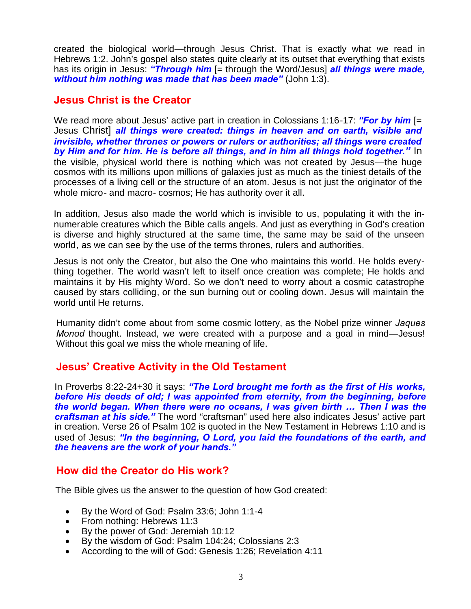created the biological world—through Jesus Christ. That is exactly what we read in Hebrews 1:2. John's gospel also states quite clearly at its outset that everything that exists has its origin in Jesus: *"Through him* [= through the Word/Jesus] *all things were made, without him nothing was made that has been made"* (John 1:3).

### **Jesus Christ is the Creator**

We read more about Jesus' active part in creation in Colossians 1:16-17: *"For by him* [= Jesus Christ] *all things were created: things in heaven and on earth, visible and invisible, whether thrones or powers or rulers or authorities; all things were created by Him and for him. He is before all things, and in him all things hold together."* In the visible, physical world there is nothing which was not created by Jesus—the huge cosmos with its millions upon millions of galaxies just as much as the tiniest details of the processes of a living cell or the structure of an atom. Jesus is not just the originator of the whole micro- and macro- cosmos; He has authority over it all.

In addition, Jesus also made the world which is invisible to us, populating it with the innumerable creatures which the Bible calls angels. And just as everything in God's creation is diverse and highly structured at the same time, the same may be said of the unseen world, as we can see by the use of the terms thrones, rulers and authorities.

Jesus is not only the Creator, but also the One who maintains this world. He holds everything together. The world wasn't left to itself once creation was complete; He holds and maintains it by His mighty Word. So we don't need to worry about a cosmic catastrophe caused by stars colliding, or the sun burning out or cooling down. Jesus will maintain the world until He returns.

Humanity didn't come about from some cosmic lottery, as the Nobel prize winner *Jaques Monod* thought. Instead, we were created with a purpose and a goal in mind—Jesus! Without this goal we miss the whole meaning of life.

## **Jesus' Creative Activity in the Old Testament**

In Proverbs 8:22-24+30 it says: *"The Lord brought me forth as the first of His works, before His deeds of old; I was appointed from eternity, from the beginning, before the world began. When there were no oceans, I was given birth ... Then I was the craftsman at his side."* The word "craftsman" used here also indicates Jesus' active part in creation. Verse 26 of Psalm 102 is quoted in the New Testament in Hebrews 1:10 and is used of Jesus: *"In the beginning, O Lord, you laid the foundations of the earth, and the heavens are the work of your hands."*

#### **How did the Creator do His work?**

The Bible gives us the answer to the question of how God created:

- By the Word of God: Psalm 33:6; John 1:1-4
- From nothing: Hebrews 11:3
- By the power of God: Jeremiah 10:12
- By the wisdom of God: Psalm 104:24; Colossians 2:3
- According to the will of God: Genesis 1:26; Revelation 4:11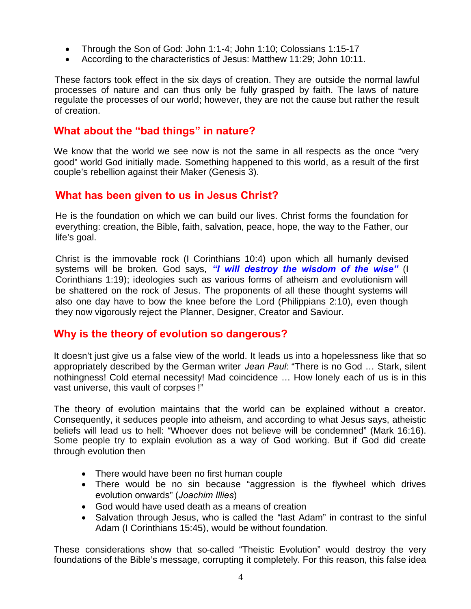- Through the Son of God: John 1:1-4; John 1:10; Colossians 1:15-17
- According to the characteristics of Jesus: Matthew 11:29; John 10:11.

These factors took effect in the six days of creation. They are outside the normal lawful processes of nature and can thus only be fully grasped by faith. The laws of nature regulate the processes of our world; however, they are not the cause but rather the result of creation.

## **What about the "bad things" in nature?**

We know that the world we see now is not the same in all respects as the once "very good" world God initially made. Something happened to this world, as a result of the first couple's rebellion against their Maker (Genesis 3).

## **What has been given to us in Jesus Christ?**

He is the foundation on which we can build our lives. Christ forms the foundation for everything: creation, the Bible, faith, salvation, peace, hope, the way to the Father, our life's goal.

Christ is the immovable rock (I Corinthians 10:4) upon which all humanly devised systems will be broken. God says, *"I will destroy the wisdom of the wise"* (I Corinthians 1:19); ideologies such as various forms of atheism and evolutionism will be shattered on the rock of Jesus. The proponents of all these thought systems will also one day have to bow the knee before the Lord (Philippians 2:10), even though they now vigorously reject the Planner, Designer, Creator and Saviour.

## **Why is the theory of evolution so dangerous?**

It doesn't just give us a false view of the world. It leads us into a hopelessness like that so appropriately described by the German writer *Jean Paul*: "There is no God … Stark, silent nothingness! Cold eternal necessity! Mad coincidence … How lonely each of us is in this vast universe, this vault of corpses !"

The theory of evolution maintains that the world can be explained without a creator. Consequently, it seduces people into atheism, and according to what Jesus says, atheistic beliefs will lead us to hell: "Whoever does not believe will be condemned" (Mark 16:16). Some people try to explain evolution as a way of God working. But if God did create through evolution then

- There would have been no first human couple
- There would be no sin because "aggression is the flywheel which drives evolution onwards" (*Joachim Illies*)
- God would have used death as a means of creation
- Salvation through Jesus, who is called the "last Adam" in contrast to the sinful Adam (I Corinthians 15:45), would be without foundation.

These considerations show that so-called "Theistic Evolution" would destroy the very foundations of the Bible's message, corrupting it completely. For this reason, this false idea